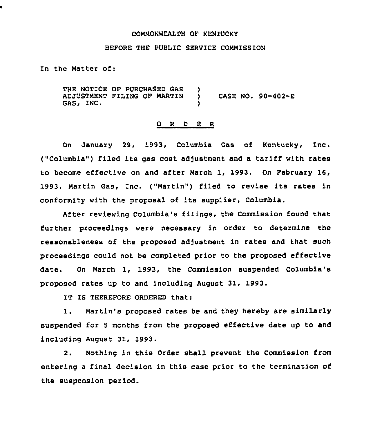## COMMONWEALTH OF KENTUCKY

## BEFORE THE PUBLIC SERVICE COMMISSION

In the Matter of:

THE NOTICE OF PURCHASED GAS ADJUSTMENT FILING OF MARTIN ) CASE NO. 90-402-E GAS, INC.

## 0 <sup>R</sup> <sup>D</sup> E <sup>R</sup>

On January 29, 1993, Columbia Gas of Kentucky, Inc. ("Columbia") filed its gas cost adjustment and a tariff with rates to become effective on and after March 1, 1993. On February l6, 1993, Martin Gas, Inc. ("Martin") filed to revise its rates in conformity with the proposal of its supplier, Columbia.

After reviewing columbia's filings, the Commission found that further proceedings were necessary in order to determine the reasonableness of the proposed adjustment in rates and that such proceedings could not be completed prior to the proposed effective date. On March 1, 1993, the Commission suspended Columbia's proposed rates up to and including August 31, 1993.

IT IS THEREFORE ORDERED that:

1. Martin's proposed rates be and they hereby are similarly suspended for <sup>5</sup> months from the proposed effective date up to and including August 31, 1993.

2. Nothing in this Order shall prevent the Commission from entering a final decision in this case prior to the termination of the suspension period.